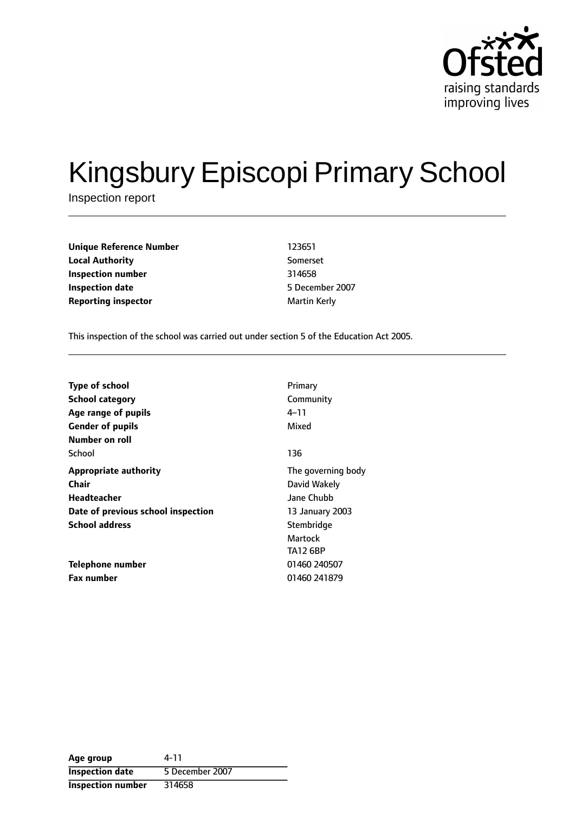

# Kingsbury Episcopi Primary School

Inspection report

**Unique Reference Number** 123651 **Local Authority** Somerset **Inspection number** 314658 **Inspection date** 5 December 2007 **Reporting inspector and a maturity of the Martin Kerly** 

This inspection of the school was carried out under section 5 of the Education Act 2005.

| <b>Type of school</b>              | Primary            |
|------------------------------------|--------------------|
| <b>School category</b>             | Community          |
| Age range of pupils                | 4–11               |
| <b>Gender of pupils</b>            | Mixed              |
| Number on roll                     |                    |
| School                             | 136                |
| <b>Appropriate authority</b>       | The governing body |
| Chair                              | David Wakely       |
| Headteacher                        | Jane Chubb         |
| Date of previous school inspection | 13 January 2003    |
| <b>School address</b>              | Stembridge         |
|                                    | Martock            |
|                                    | <b>TA12 6BP</b>    |
| Telephone number                   | 01460 240507       |
| <b>Fax number</b>                  | 01460 241879       |

| Age group                | 4-11            |
|--------------------------|-----------------|
| <b>Inspection date</b>   | 5 December 2007 |
| <b>Inspection number</b> | 314658          |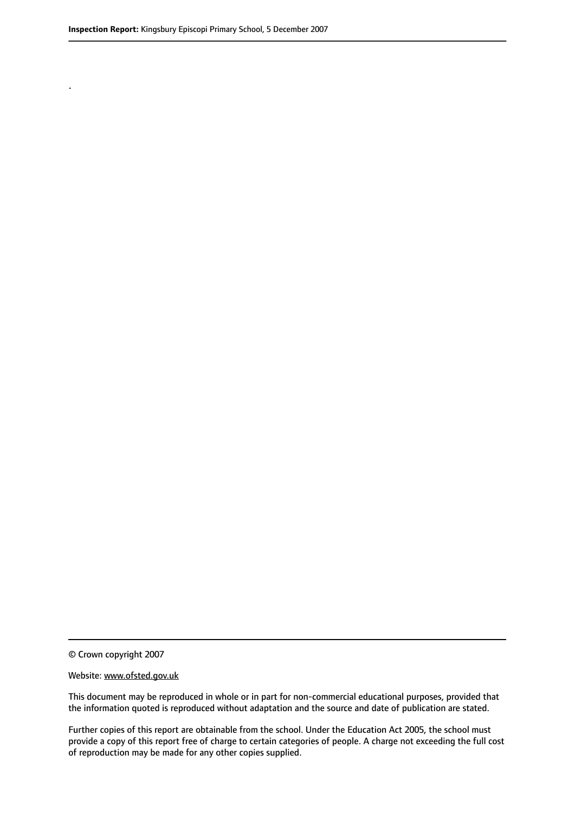.

© Crown copyright 2007

#### Website: www.ofsted.gov.uk

This document may be reproduced in whole or in part for non-commercial educational purposes, provided that the information quoted is reproduced without adaptation and the source and date of publication are stated.

Further copies of this report are obtainable from the school. Under the Education Act 2005, the school must provide a copy of this report free of charge to certain categories of people. A charge not exceeding the full cost of reproduction may be made for any other copies supplied.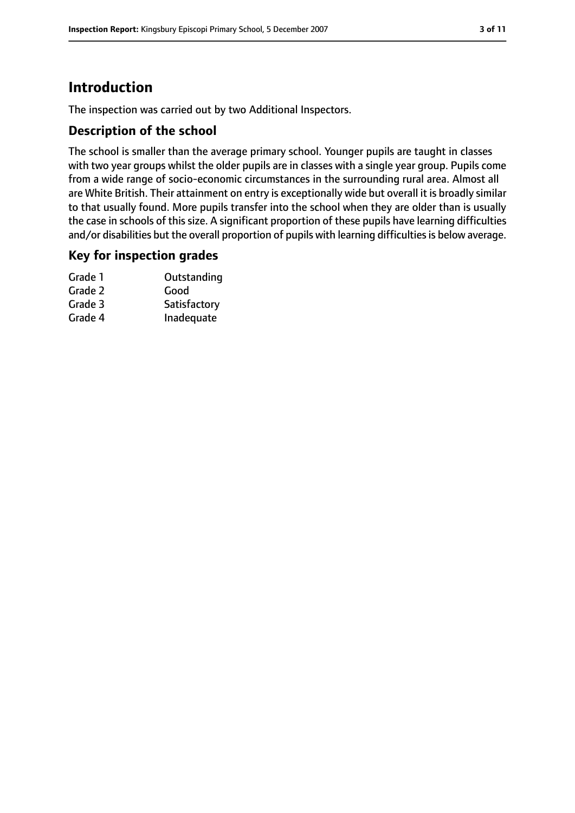# **Introduction**

The inspection was carried out by two Additional Inspectors.

## **Description of the school**

The school is smaller than the average primary school. Younger pupils are taught in classes with two year groups whilst the older pupils are in classes with a single year group. Pupils come from a wide range of socio-economic circumstances in the surrounding rural area. Almost all are White British. Their attainment on entry is exceptionally wide but overall it is broadly similar to that usually found. More pupils transfer into the school when they are older than is usually the case in schools of this size. A significant proportion of these pupils have learning difficulties and/or disabilities but the overall proportion of pupils with learning difficulties is below average.

#### **Key for inspection grades**

| Grade 1 | Outstanding  |
|---------|--------------|
| Grade 2 | Good         |
| Grade 3 | Satisfactory |
| Grade 4 | Inadequate   |
|         |              |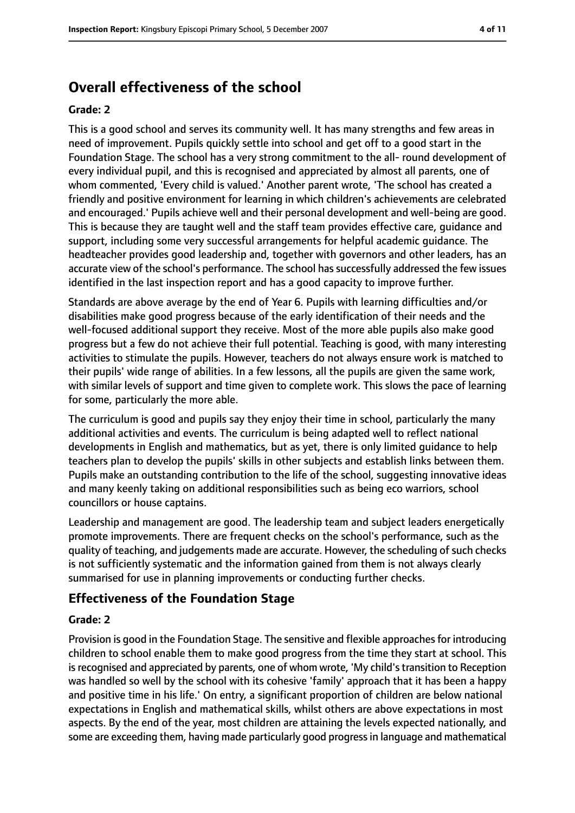# **Overall effectiveness of the school**

#### **Grade: 2**

This is a good school and serves its community well. It has many strengths and few areas in need of improvement. Pupils quickly settle into school and get off to a good start in the Foundation Stage. The school has a very strong commitment to the all- round development of every individual pupil, and this is recognised and appreciated by almost all parents, one of whom commented, 'Every child is valued.' Another parent wrote, 'The school has created a friendly and positive environment for learning in which children's achievements are celebrated and encouraged.' Pupils achieve well and their personal development and well-being are good. This is because they are taught well and the staff team provides effective care, guidance and support, including some very successful arrangements for helpful academic guidance. The headteacher provides good leadership and, together with governors and other leaders, has an accurate view of the school's performance. The school has successfully addressed the few issues identified in the last inspection report and has a good capacity to improve further.

Standards are above average by the end of Year 6. Pupils with learning difficulties and/or disabilities make good progress because of the early identification of their needs and the well-focused additional support they receive. Most of the more able pupils also make good progress but a few do not achieve their full potential. Teaching is good, with many interesting activities to stimulate the pupils. However, teachers do not always ensure work is matched to their pupils' wide range of abilities. In a few lessons, all the pupils are given the same work, with similar levels of support and time given to complete work. This slows the pace of learning for some, particularly the more able.

The curriculum is good and pupils say they enjoy their time in school, particularly the many additional activities and events. The curriculum is being adapted well to reflect national developments in English and mathematics, but as yet, there is only limited guidance to help teachers plan to develop the pupils' skills in other subjects and establish links between them. Pupils make an outstanding contribution to the life of the school, suggesting innovative ideas and many keenly taking on additional responsibilities such as being eco warriors, school councillors or house captains.

Leadership and management are good. The leadership team and subject leaders energetically promote improvements. There are frequent checks on the school's performance, such as the quality of teaching, and judgements made are accurate. However, the scheduling of such checks is not sufficiently systematic and the information gained from them is not always clearly summarised for use in planning improvements or conducting further checks.

## **Effectiveness of the Foundation Stage**

#### **Grade: 2**

Provision is good in the Foundation Stage. The sensitive and flexible approaches for introducing children to school enable them to make good progress from the time they start at school. This is recognised and appreciated by parents, one of whom wrote, 'My child's transition to Reception was handled so well by the school with its cohesive 'family' approach that it has been a happy and positive time in his life.' On entry, a significant proportion of children are below national expectations in English and mathematical skills, whilst others are above expectations in most aspects. By the end of the year, most children are attaining the levels expected nationally, and some are exceeding them, having made particularly good progressin language and mathematical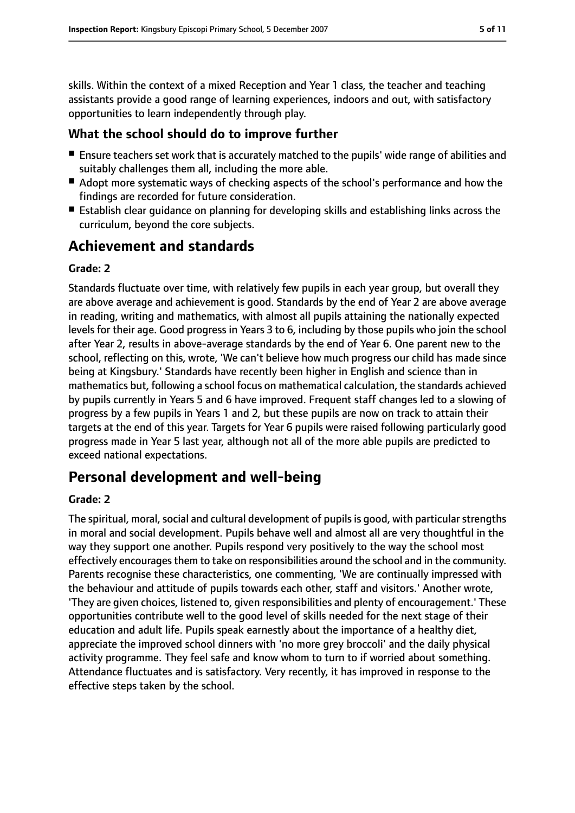skills. Within the context of a mixed Reception and Year 1 class, the teacher and teaching assistants provide a good range of learning experiences, indoors and out, with satisfactory opportunities to learn independently through play.

## **What the school should do to improve further**

- Ensure teachers set work that is accurately matched to the pupils' wide range of abilities and suitably challenges them all, including the more able.
- Adopt more systematic ways of checking aspects of the school's performance and how the findings are recorded for future consideration.
- Establish clear quidance on planning for developing skills and establishing links across the curriculum, beyond the core subjects.

## **Achievement and standards**

#### **Grade: 2**

Standards fluctuate over time, with relatively few pupils in each year group, but overall they are above average and achievement is good. Standards by the end of Year 2 are above average in reading, writing and mathematics, with almost all pupils attaining the nationally expected levels for their age. Good progress in Years 3 to 6, including by those pupils who join the school after Year 2, results in above-average standards by the end of Year 6. One parent new to the school, reflecting on this, wrote, 'We can't believe how much progress our child has made since being at Kingsbury.' Standards have recently been higher in English and science than in mathematics but, following a school focus on mathematical calculation, the standards achieved by pupils currently in Years 5 and 6 have improved. Frequent staff changes led to a slowing of progress by a few pupils in Years 1 and 2, but these pupils are now on track to attain their targets at the end of this year. Targets for Year 6 pupils were raised following particularly good progress made in Year 5 last year, although not all of the more able pupils are predicted to exceed national expectations.

## **Personal development and well-being**

#### **Grade: 2**

The spiritual, moral, social and cultural development of pupils is good, with particular strengths in moral and social development. Pupils behave well and almost all are very thoughtful in the way they support one another. Pupils respond very positively to the way the school most effectively encourages them to take on responsibilities around the school and in the community. Parents recognise these characteristics, one commenting, 'We are continually impressed with the behaviour and attitude of pupils towards each other, staff and visitors.' Another wrote, 'They are given choices, listened to, given responsibilities and plenty of encouragement.' These opportunities contribute well to the good level of skills needed for the next stage of their education and adult life. Pupils speak earnestly about the importance of a healthy diet, appreciate the improved school dinners with 'no more grey broccoli' and the daily physical activity programme. They feel safe and know whom to turn to if worried about something. Attendance fluctuates and is satisfactory. Very recently, it has improved in response to the effective steps taken by the school.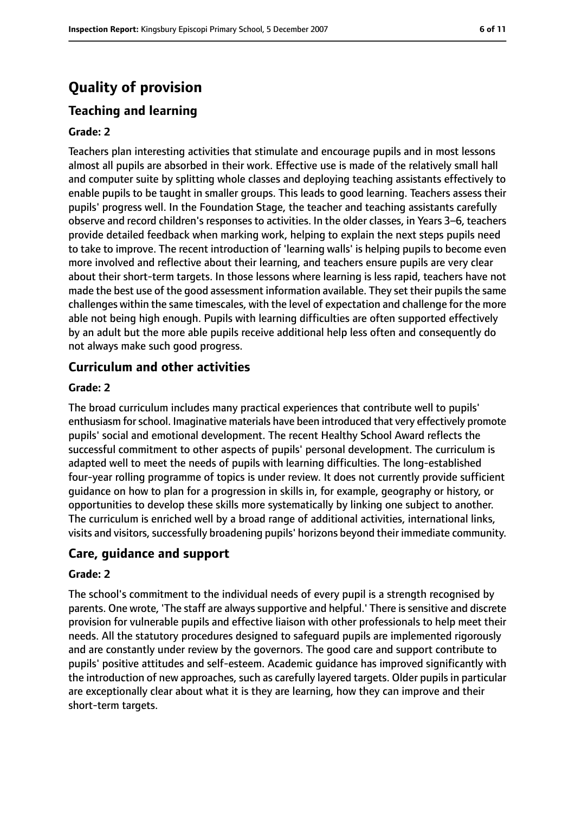# **Quality of provision**

## **Teaching and learning**

#### **Grade: 2**

Teachers plan interesting activities that stimulate and encourage pupils and in most lessons almost all pupils are absorbed in their work. Effective use is made of the relatively small hall and computer suite by splitting whole classes and deploying teaching assistants effectively to enable pupils to be taught in smaller groups. This leads to good learning. Teachers assess their pupils' progress well. In the Foundation Stage, the teacher and teaching assistants carefully observe and record children's responses to activities. In the older classes, in Years 3-6, teachers provide detailed feedback when marking work, helping to explain the next steps pupils need to take to improve. The recent introduction of 'learning walls' is helping pupils to become even more involved and reflective about their learning, and teachers ensure pupils are very clear about their short-term targets. In those lessons where learning is less rapid, teachers have not made the best use of the good assessment information available. They set their pupils the same challenges within the same timescales, with the level of expectation and challenge for the more able not being high enough. Pupils with learning difficulties are often supported effectively by an adult but the more able pupils receive additional help less often and consequently do not always make such good progress.

#### **Curriculum and other activities**

#### **Grade: 2**

The broad curriculum includes many practical experiences that contribute well to pupils' enthusiasm forschool. Imaginative materials have been introduced that very effectively promote pupils' social and emotional development. The recent Healthy School Award reflects the successful commitment to other aspects of pupils' personal development. The curriculum is adapted well to meet the needs of pupils with learning difficulties. The long-established four-year rolling programme of topics is under review. It does not currently provide sufficient guidance on how to plan for a progression in skills in, for example, geography or history, or opportunities to develop these skills more systematically by linking one subject to another. The curriculum is enriched well by a broad range of additional activities, international links, visits and visitors, successfully broadening pupils' horizons beyond their immediate community.

#### **Care, guidance and support**

#### **Grade: 2**

The school's commitment to the individual needs of every pupil is a strength recognised by parents. One wrote, 'The staff are always supportive and helpful.' There is sensitive and discrete provision for vulnerable pupils and effective liaison with other professionals to help meet their needs. All the statutory procedures designed to safeguard pupils are implemented rigorously and are constantly under review by the governors. The good care and support contribute to pupils' positive attitudes and self-esteem. Academic guidance has improved significantly with the introduction of new approaches, such as carefully layered targets. Older pupils in particular are exceptionally clear about what it is they are learning, how they can improve and their short-term targets.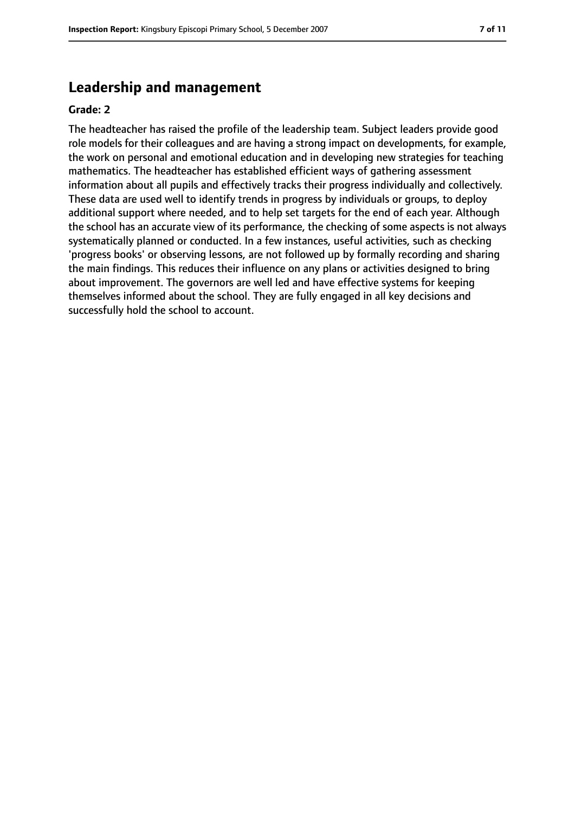## **Leadership and management**

#### **Grade: 2**

The headteacher has raised the profile of the leadership team. Subject leaders provide good role models for their colleagues and are having a strong impact on developments, for example, the work on personal and emotional education and in developing new strategies for teaching mathematics. The headteacher has established efficient ways of gathering assessment information about all pupils and effectively tracks their progress individually and collectively. These data are used well to identify trends in progress by individuals or groups, to deploy additional support where needed, and to help set targets for the end of each year. Although the school has an accurate view of its performance, the checking of some aspects is not always systematically planned or conducted. In a few instances, useful activities, such as checking 'progress books' or observing lessons, are not followed up by formally recording and sharing the main findings. This reduces their influence on any plans or activities designed to bring about improvement. The governors are well led and have effective systems for keeping themselves informed about the school. They are fully engaged in all key decisions and successfully hold the school to account.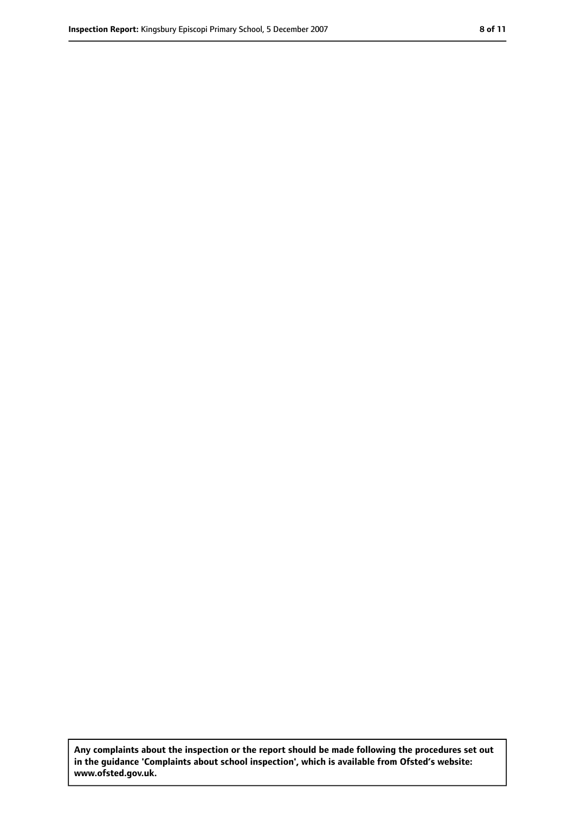**Any complaints about the inspection or the report should be made following the procedures set out in the guidance 'Complaints about school inspection', which is available from Ofsted's website: www.ofsted.gov.uk.**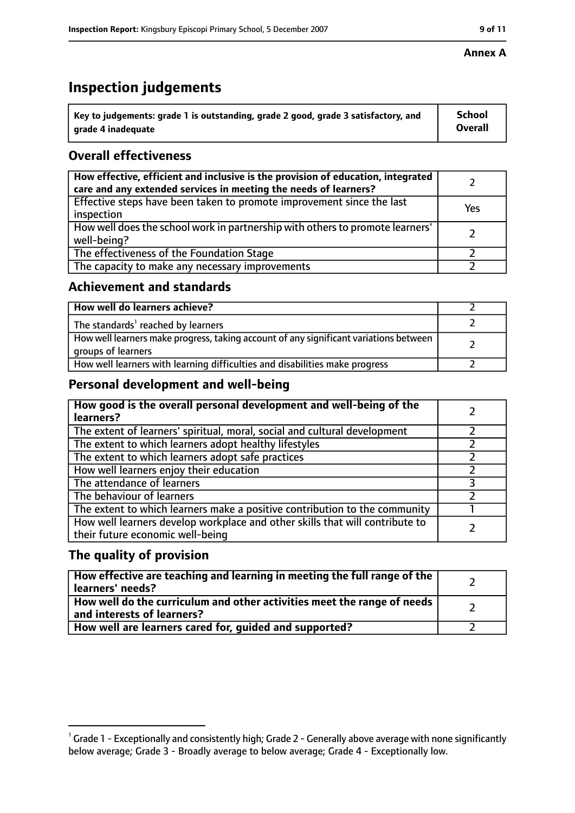# **Inspection judgements**

| $^{\backprime}$ Key to judgements: grade 1 is outstanding, grade 2 good, grade 3 satisfactory, and | <b>School</b>  |
|----------------------------------------------------------------------------------------------------|----------------|
| arade 4 inadequate                                                                                 | <b>Overall</b> |

## **Overall effectiveness**

| How effective, efficient and inclusive is the provision of education, integrated<br>care and any extended services in meeting the needs of learners? |     |
|------------------------------------------------------------------------------------------------------------------------------------------------------|-----|
| Effective steps have been taken to promote improvement since the last<br>inspection                                                                  | Yes |
| How well does the school work in partnership with others to promote learners'<br>well-being?                                                         |     |
| The effectiveness of the Foundation Stage                                                                                                            |     |
| The capacity to make any necessary improvements                                                                                                      |     |

#### **Achievement and standards**

| How well do learners achieve?                                                                               |  |
|-------------------------------------------------------------------------------------------------------------|--|
| The standards <sup>1</sup> reached by learners                                                              |  |
| How well learners make progress, taking account of any significant variations between<br>groups of learners |  |
| How well learners with learning difficulties and disabilities make progress                                 |  |

## **Personal development and well-being**

| How good is the overall personal development and well-being of the<br>learners?                                  |  |
|------------------------------------------------------------------------------------------------------------------|--|
| The extent of learners' spiritual, moral, social and cultural development                                        |  |
| The extent to which learners adopt healthy lifestyles                                                            |  |
| The extent to which learners adopt safe practices                                                                |  |
| How well learners enjoy their education                                                                          |  |
| The attendance of learners                                                                                       |  |
| The behaviour of learners                                                                                        |  |
| The extent to which learners make a positive contribution to the community                                       |  |
| How well learners develop workplace and other skills that will contribute to<br>their future economic well-being |  |

## **The quality of provision**

| How effective are teaching and learning in meeting the full range of the<br>learners' needs?          |  |
|-------------------------------------------------------------------------------------------------------|--|
| How well do the curriculum and other activities meet the range of needs<br>and interests of learners? |  |
| How well are learners cared for, quided and supported?                                                |  |

#### **Annex A**

 $^1$  Grade 1 - Exceptionally and consistently high; Grade 2 - Generally above average with none significantly below average; Grade 3 - Broadly average to below average; Grade 4 - Exceptionally low.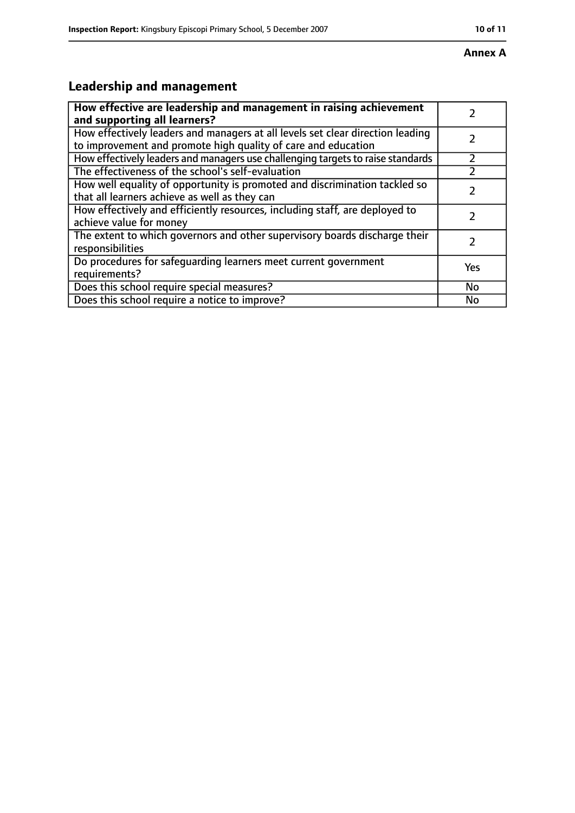# **Leadership and management**

| How effective are leadership and management in raising achievement<br>and supporting all learners?                                              |           |
|-------------------------------------------------------------------------------------------------------------------------------------------------|-----------|
| How effectively leaders and managers at all levels set clear direction leading<br>to improvement and promote high quality of care and education |           |
| How effectively leaders and managers use challenging targets to raise standards                                                                 |           |
| The effectiveness of the school's self-evaluation                                                                                               |           |
| How well equality of opportunity is promoted and discrimination tackled so<br>that all learners achieve as well as they can                     |           |
| How effectively and efficiently resources, including staff, are deployed to<br>achieve value for money                                          | 7         |
| The extent to which governors and other supervisory boards discharge their<br>responsibilities                                                  |           |
| Do procedures for safequarding learners meet current government<br>requirements?                                                                | Yes       |
| Does this school require special measures?                                                                                                      | <b>No</b> |
| Does this school require a notice to improve?                                                                                                   | No        |